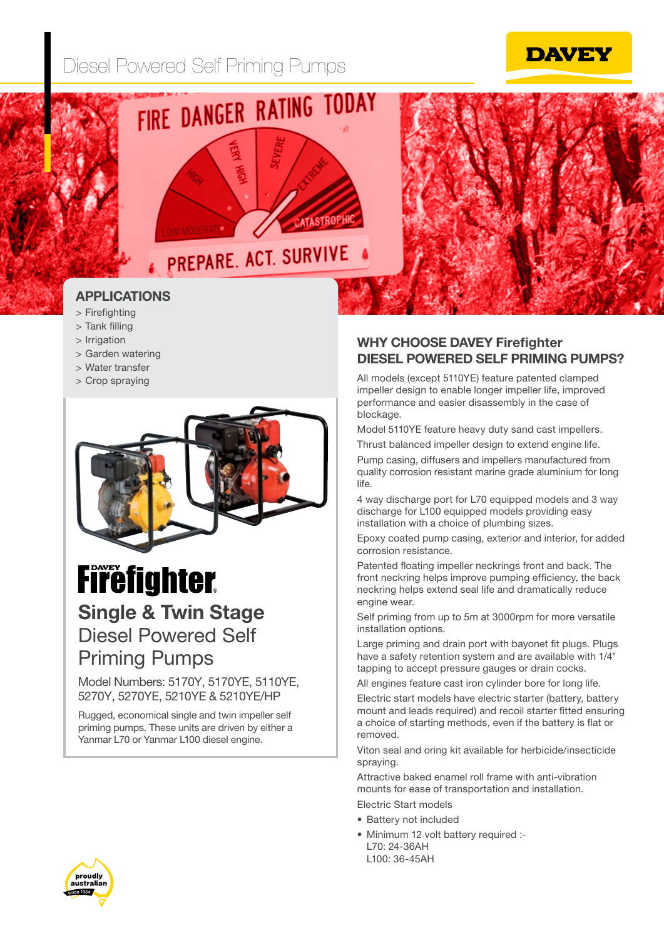





### APPLICATIONS

- > Firefighting
- > Tank filling
- > Irrigation
- > Garden watering
- > Water transfer
- > Crop spraying



# **Firefighter.**

### Single & Twin Stage Diesel Powered Self Priming Pumps

### Model Numbers: 5170Y, 5170YE, 5110YE, 5270Y, 5270YE, 5210YE & 5210YE/HP

Rugged, economical single and twin impeller self priming pumps. These units are driven by either a Yanmar L70 or Yanmar L100 diesel engine.

### WHY CHOOSE DAVEY Firefighter DIESEL POWERED SELF PRIMING PUMPS?

All models (except 5110YE) feature patented clamped impeller design to enable longer impeller life, improved performance and easier disassembly in the case of blockage.

Model 5110YE feature heavy duty sand cast impellers. Thrust balanced impeller design to extend engine life.

Pump casing, diffusers and impellers manufactured from quality corrosion resistant marine grade aluminium for long life.

4 way discharge port for L70 equipped models and 3 way discharge for L100 equipped models providing easy installation with a choice of plumbing sizes.

Epoxy coated pump casing, exterior and interior, for added corrosion resistance.

Patented floating impeller neckrings front and back. The front neckring helps improve pumping efficiency, the back neckring helps extend seal life and dramatically reduce engine wear.

Self priming from up to 5m at 3000rpm for more versatile installation options.

Large priming and drain port with bayonet fit plugs. Plugs have a safety retention system and are available with 1/4" tapping to accept pressure gauges or drain cocks.

All engines feature cast iron cylinder bore for long life.

Electric start models have electric starter (battery, battery mount and leads required) and recoil starter fitted ensuring a choice of starting methods, even if the battery is flat or removed.

Viton seal and oring kit available for herbicide/insecticide spraying.

Attractive baked enamel roll frame with anti-vibration mounts for ease of transportation and installation. Electric Start models

- Battery not included
- Minimum 12 volt battery required :- L70: 24-36AH L100: 36-45AH

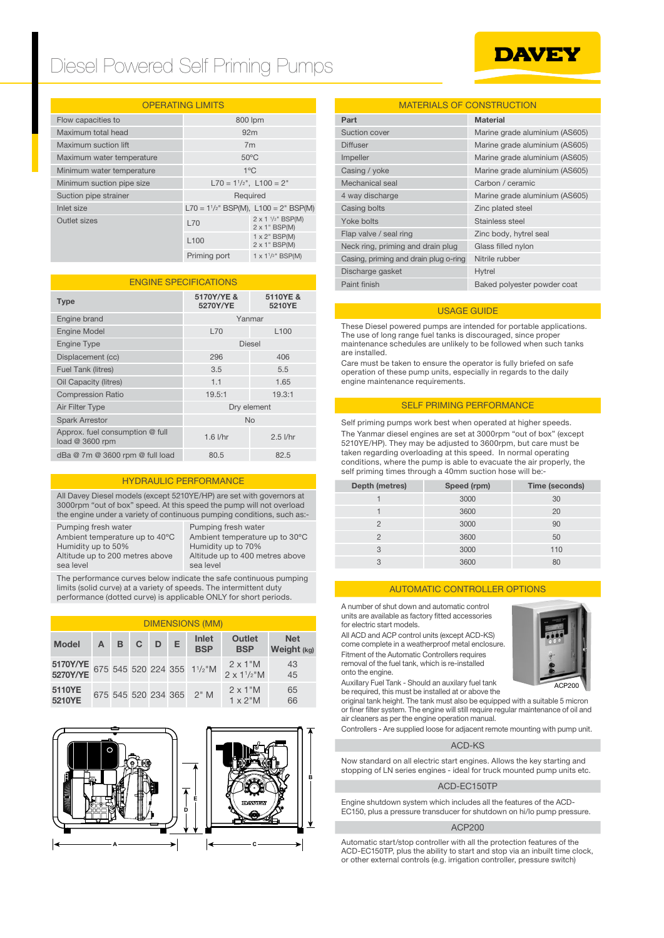# Diesel Powered Self Priming Pumps

## **DAVEY**

#### OPERATING LIMITS

| Flow capacities to        | 800 lpm                      |                                                |  |
|---------------------------|------------------------------|------------------------------------------------|--|
| Maximum total head        | 92 <sub>m</sub>              |                                                |  |
| Maximum suction lift      | 7m                           |                                                |  |
| Maximum water temperature | $50^{\circ}$ C               |                                                |  |
| Minimum water temperature | $1^{\circ}$ C                |                                                |  |
| Minimum suction pipe size | $L70 = 11/2$ ", $L100 = 2$ " |                                                |  |
| Suction pipe strainer     | Required                     |                                                |  |
| Inlet size                |                              | $L70 = 1^{1/2}$ " BSP(M), $L100 = 2$ " BSP(M)  |  |
| Outlet sizes              | L70                          | 2 x 1 1/2" BSP(M)<br>$2 \times 1$ " BSP(M)     |  |
|                           | L <sub>100</sub>             | $1 \times 2$ " BSP(M)<br>$2 \times 1$ " BSP(M) |  |
|                           | Priming port                 | $1 \times 1^{1/2}$ " BSP(M)                    |  |

| <b>ENGINE SPECIFICATIONS</b>                       |                        |                    |  |  |
|----------------------------------------------------|------------------------|--------------------|--|--|
| <b>Type</b>                                        | 5170Y/YE &<br>5270Y/YE | 5110YE &<br>5210YE |  |  |
| Engine brand                                       | Yanmar                 |                    |  |  |
| <b>Engine Model</b>                                | <b>L70</b>             | L <sub>100</sub>   |  |  |
| <b>Engine Type</b>                                 | <b>Diesel</b>          |                    |  |  |
| Displacement (cc)                                  | 296                    | 406                |  |  |
| Fuel Tank (litres)                                 | 3.5                    | 5.5                |  |  |
| Oil Capacity (litres)                              | 1.1                    | 1.65               |  |  |
| <b>Compression Ratio</b>                           | 19.5:1                 | 19.3:1             |  |  |
| Air Filter Type                                    | Dry element            |                    |  |  |
| <b>Spark Arrestor</b>                              | <b>No</b>              |                    |  |  |
| Approx. fuel consumption @ full<br>load @ 3600 rpm | $1.6$ $I/hr$           | $2.5$ $1/hr$       |  |  |
| dBa @ 7m @ 3600 rpm @ full load                    | 80.5                   | 82.5               |  |  |

#### HYDRAULIC PERFORMANCE

All Davey Diesel models (except 5210YE/HP) are set with governors at 3000rpm "out of box" speed. At this speed the pump will not overload the engine under a variety of continuous pumping conditions, such as:-

Pumping fresh water Ambient temperature up to 40ºC Humidity up to 50% Altitude up to 200 metres above sea level

Pumping fresh water Ambient temperature up to 30ºC Humidity up to 70% Altitude up to 400 metres above sea level

The performance curves below indicate the safe continuous pumping limits (solid curve) at a variety of speeds. The intermittent duty performance (dotted curve) is applicable ONLY for short periods.

#### DIMENSIONS (MM)

| <b>Model</b>                        | $\mathsf{A}$ | B <sub>C</sub> | D | Е. | Inlet<br><b>BSP</b>      | <b>Outlet</b><br><b>BSP</b>              | <b>Net</b><br>Weight (kg) |
|-------------------------------------|--------------|----------------|---|----|--------------------------|------------------------------------------|---------------------------|
| 5170Y/YE 675 545 520 224 355 11/2"M |              |                |   |    |                          | $2 \times 1$ "M<br>$2 \times 1^{1/2}$ "M | 43<br>45                  |
| 5110YE<br>5210YE                    |              |                |   |    | 675 545 520 234 365 2" M | $2 \times 1$ "M<br>$1 \times 2$ "M       | 65<br>66                  |



#### MATERIALS OF CONSTRUCTION

|          | 800 lpm                                   |                                                |                    | Part                                  | <b>Material</b>                |
|----------|-------------------------------------------|------------------------------------------------|--------------------|---------------------------------------|--------------------------------|
|          | 92m                                       |                                                |                    | Suction cover                         | Marine grade aluminium (AS605) |
|          | 7 <sub>m</sub>                            |                                                |                    | <b>Diffuser</b>                       | Marine grade aluminium (AS605) |
| perature | $50^{\circ}$ C                            |                                                |                    | Impeller                              | Marine grade aluminium (AS605) |
| erature  | $1^{\circ}$ C                             |                                                |                    | Casing / yoke                         | Marine grade aluminium (AS605) |
| e size   | $L70 = 11/2$ ", $L100 = 2$ "              |                                                |                    | Mechanical seal                       | Carbon / ceramic               |
|          |                                           | Required                                       |                    | 4 way discharge                       | Marine grade aluminium (AS605) |
|          |                                           | $L70 = 1^{1/2}$ " BSP(M), $L100 = 2$ " BSP(M)  |                    | Casing bolts                          | Zinc plated steel              |
|          | L70                                       | $2 \times 1$ $1/2$ " BSP(M)                    |                    | Yoke bolts                            | Stainless steel                |
|          |                                           | $2 \times 1$ " BSP(M)<br>$1 \times 2$ " BSP(M) |                    | Flap valve / seal ring                | Zinc body, hytrel seal         |
|          | L <sub>100</sub><br>$2 \times 1$ " BSP(M) | Neck ring, priming and drain plug              | Glass filled nylon |                                       |                                |
|          | Priming port                              | $1 \times 1^{1/2}$ BSP(M)                      |                    | Casing, priming and drain plug o-ring | Nitrile rubber                 |
|          |                                           |                                                |                    | Discharge gasket                      | Hytrel                         |
|          | <b>ENGINE SPECIFICATIONS</b>              |                                                |                    | Paint finish                          | Baked polyester powder coat    |
|          |                                           |                                                |                    |                                       |                                |

#### USAGE GUIDE

These Diesel powered pumps are intended for portable applications. The use of long range fuel tanks is discouraged, since proper maintenance schedules are unlikely to be followed when such tanks are installed.

Care must be taken to ensure the operator is fully briefed on safe operation of these pump units, especially in regards to the daily engine maintenance requirements.

#### SELF PRIMING PERFORMANCE

Self priming pumps work best when operated at higher speeds. The Yanmar diesel engines are set at 3000rpm "out of box" (except 5210YE/HP). They may be adjusted to 3600rpm, but care must be taken regarding overloading at this speed. In normal operating conditions, where the pump is able to evacuate the air properly, the self priming times through a 40mm suction hose will be:-

| Depth (metres) | Speed (rpm) | Time (seconds) |
|----------------|-------------|----------------|
|                | 3000        | 30             |
|                | 3600        | 20             |
| $\mathfrak{p}$ | 3000        | 90             |
| 2              | 3600        | 50             |
| 3              | 3000        | 110            |
| Q              | 3600        | 80             |

#### AUTOMATIC CONTROLLER OPTIONS

A number of shut down and automatic control units are available as factory fitted accessories for electric start models.

All ACD and ACP control units (except ACD-KS) come complete in a weatherproof metal enclosure. Fitment of the Automatic Controllers requires removal of the fuel tank, which is re-installed onto the engine.

Auxillary Fuel Tank - Should an auxilary fuel tank be required, this must be installed at or above the

original tank height. The tank must also be equipped with a suitable 5 micron or finer filter system. The engine will still require regular maintenance of oil and air cleaners as per the engine operation manual.

Controllers - Are supplied loose for adjacent remote mounting with pump unit.

#### ACD-KS

Now standard on all electric start engines. Allows the key starting and stopping of LN series engines - ideal for truck mounted pump units etc.

#### ACD-EC150TP

Engine shutdown system which includes all the features of the ACD-EC150, plus a pressure transducer for shutdown on hi/lo pump pressure.

#### ACP200

Automatic start/stop controller with all the protection features of the ACD-EC150TP, plus the ability to start and stop via an inbuilt time clock, or other external controls (e.g. irrigation controller, pressure switch)



ACP<sub>200</sub>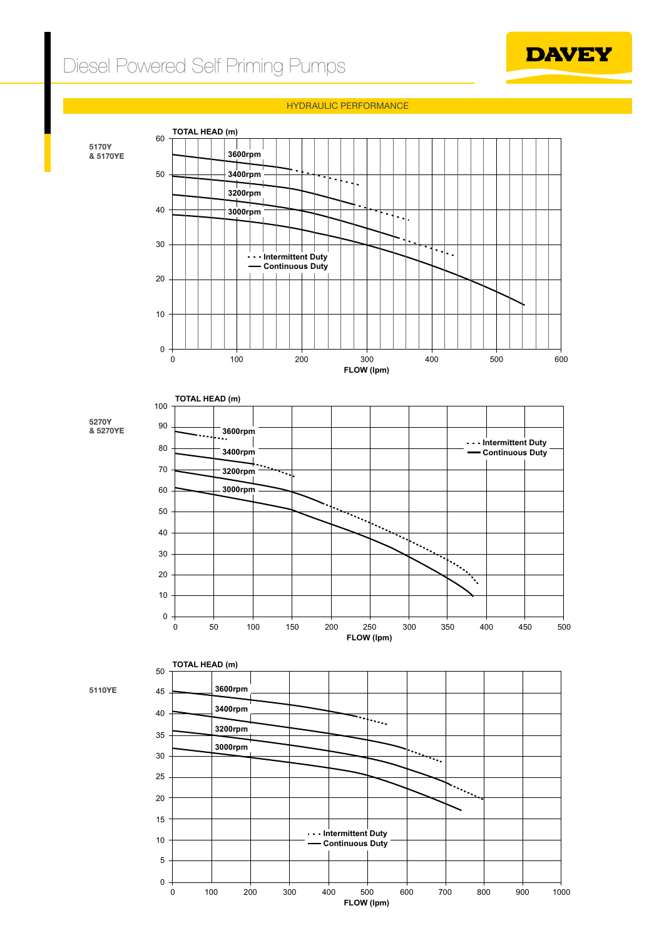# Diesel Powered Self Priming Pumps



HYDRAULIC PERFORMANCE